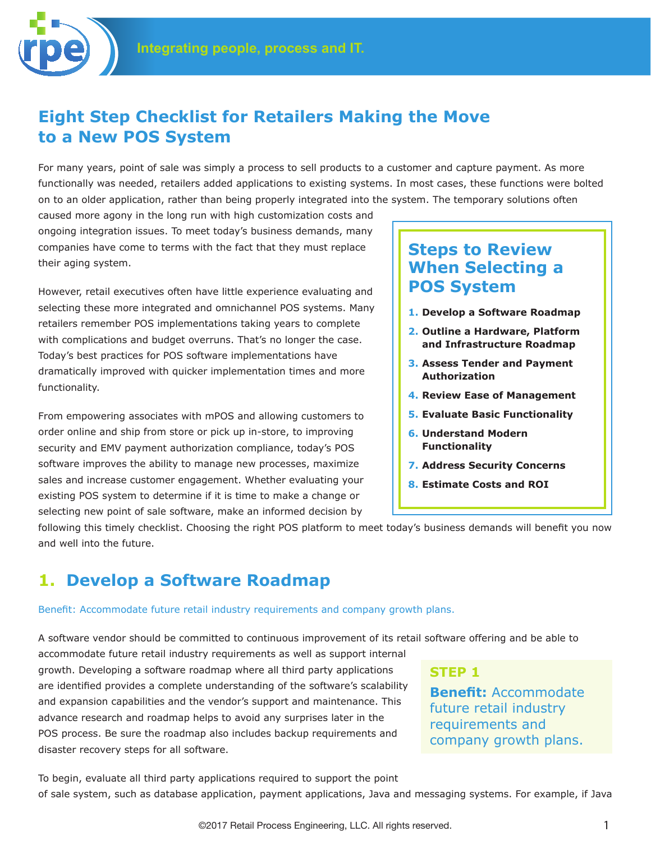## **Eight Step Checklist for Retailers Making the Move to a New POS System**

For many years, point of sale was simply a process to sell products to a customer and capture payment. As more functionally was needed, retailers added applications to existing systems. In most cases, these functions were bolted on to an older application, rather than being properly integrated into the system. The temporary solutions often

caused more agony in the long run with high customization costs and ongoing integration issues. To meet today's business demands, many companies have come to terms with the fact that they must replace their aging system.

However, retail executives often have little experience evaluating and selecting these more integrated and omnichannel POS systems. Many retailers remember POS implementations taking years to complete with complications and budget overruns. That's no longer the case. Today's best practices for POS software implementations have dramatically improved with quicker implementation times and more functionality.

From empowering associates with mPOS and allowing customers to order online and ship from store or pick up in-store, to improving security and EMV payment authorization compliance, today's POS software improves the ability to manage new processes, maximize sales and increase customer engagement. Whether evaluating your existing POS system to determine if it is time to make a change or selecting new point of sale software, make an informed decision by

## **Steps to Review When Selecting a POS System**

- **1. Develop a Software Roadmap**
- **2. Outline a Hardware, Platform and Infrastructure Roadmap**
- **3. Assess Tender and Payment Authorization**
- **4. Review Ease of Management**
- **5. Evaluate Basic Functionality**
- **6. Understand Modern Functionality**
- **7. Address Security Concerns**
- **8. Estimate Costs and ROI**

following this timely checklist. Choosing the right POS platform to meet today's business demands will benefit you now and well into the future.

## **1. Develop a Software Roadmap**

#### Benefit: Accommodate future retail industry requirements and company growth plans.

A software vendor should be committed to continuous improvement of its retail software offering and be able to

accommodate future retail industry requirements as well as support internal growth. Developing a software roadmap where all third party applications are identified provides a complete understanding of the software's scalability and expansion capabilities and the vendor's support and maintenance. This advance research and roadmap helps to avoid any surprises later in the POS process. Be sure the roadmap also includes backup requirements and disaster recovery steps for all software.

**Benefit:** Accommodate future retail industry requirements and company growth plans.

**STEP 1**

To begin, evaluate all third party applications required to support the point of sale system, such as database application, payment applications, Java and messaging systems. For example, if Java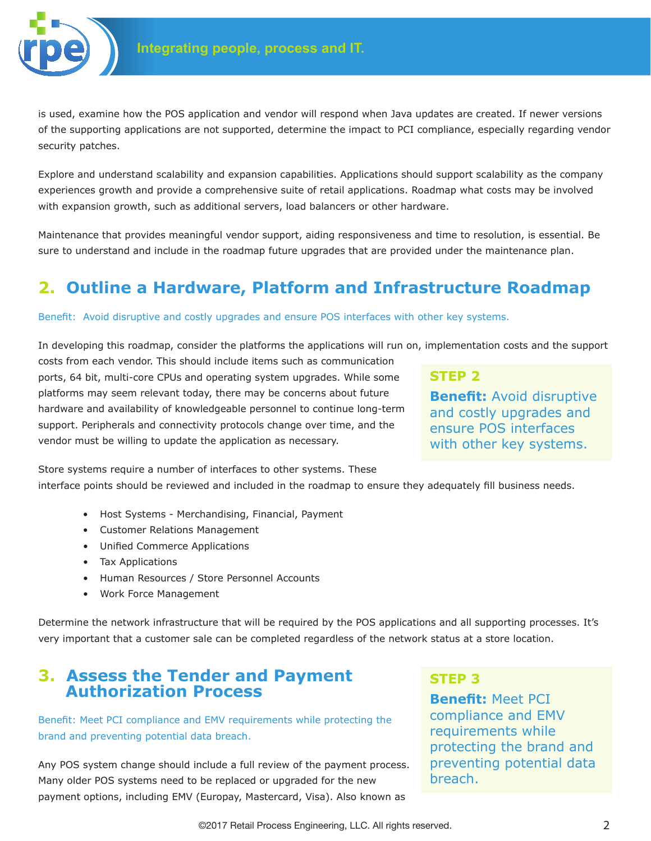

is used, examine how the POS application and vendor will respond when Java updates are created. If newer versions of the supporting applications are not supported, determine the impact to PCI compliance, especially regarding vendor security patches.

Explore and understand scalability and expansion capabilities. Applications should support scalability as the company experiences growth and provide a comprehensive suite of retail applications. Roadmap what costs may be involved with expansion growth, such as additional servers, load balancers or other hardware.

Maintenance that provides meaningful vendor support, aiding responsiveness and time to resolution, is essential. Be sure to understand and include in the roadmap future upgrades that are provided under the maintenance plan.

# **2. Outline a Hardware, Platform and Infrastructure Roadmap**

#### Benefit: Avoid disruptive and costly upgrades and ensure POS interfaces with other key systems.

In developing this roadmap, consider the platforms the applications will run on, implementation costs and the support

costs from each vendor. This should include items such as communication ports, 64 bit, multi-core CPUs and operating system upgrades. While some platforms may seem relevant today, there may be concerns about future hardware and availability of knowledgeable personnel to continue long-term support. Peripherals and connectivity protocols change over time, and the vendor must be willing to update the application as necessary.

## **STEP 2**

**Benefit:** Avoid disruptive and costly upgrades and ensure POS interfaces with other key systems.

Store systems require a number of interfaces to other systems. These interface points should be reviewed and included in the roadmap to ensure they adequately fill business needs.

- Host Systems Merchandising, Financial, Payment
- Customer Relations Management
- Unified Commerce Applications
- Tax Applications
- Human Resources / Store Personnel Accounts
- Work Force Management

Determine the network infrastructure that will be required by the POS applications and all supporting processes. It's very important that a customer sale can be completed regardless of the network status at a store location.

## **3. Assess the Tender and Payment Authorization Process**

Benefit: Meet PCI compliance and EMV requirements while protecting the brand and preventing potential data breach.

Any POS system change should include a full review of the payment process. Many older POS systems need to be replaced or upgraded for the new payment options, including EMV (Europay, Mastercard, Visa). Also known as

## **STEP 3**

**Benefit:** Meet PCI compliance and EMV requirements while protecting the brand and preventing potential data breach.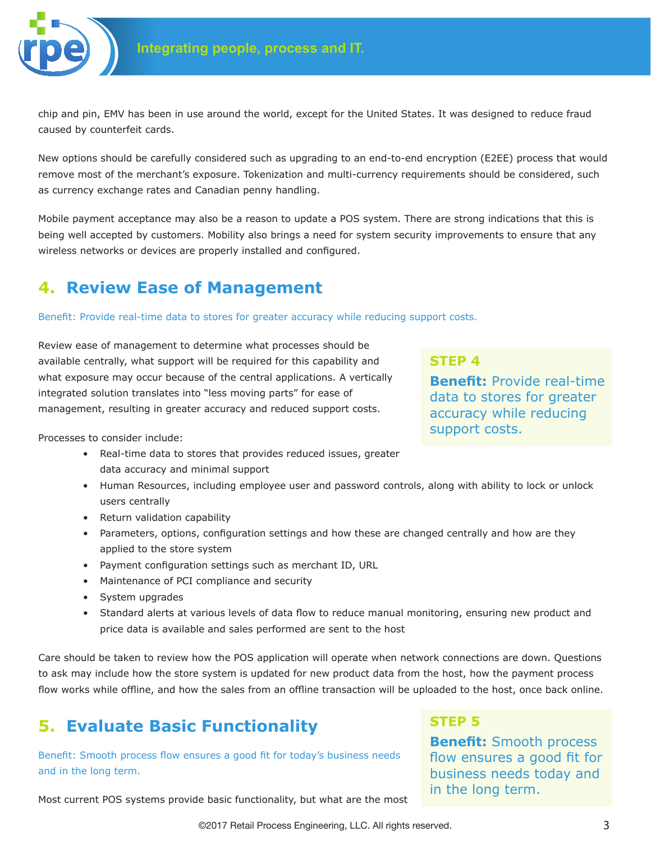

chip and pin, EMV has been in use around the world, except for the United States. It was designed to reduce fraud caused by counterfeit cards.

New options should be carefully considered such as upgrading to an end-to-end encryption (E2EE) process that would remove most of the merchant's exposure. Tokenization and multi-currency requirements should be considered, such as currency exchange rates and Canadian penny handling.

Mobile payment acceptance may also be a reason to update a POS system. There are strong indications that this is being well accepted by customers. Mobility also brings a need for system security improvements to ensure that any wireless networks or devices are properly installed and configured.

## **4. Review Ease of Management**

Benefit: Provide real-time data to stores for greater accuracy while reducing support costs.

Review ease of management to determine what processes should be available centrally, what support will be required for this capability and what exposure may occur because of the central applications. A vertically integrated solution translates into "less moving parts" for ease of management, resulting in greater accuracy and reduced support costs.

**STEP 4**

**Benefit:** Provide real-time data to stores for greater accuracy while reducing support costs.

Processes to consider include:

- Real-time data to stores that provides reduced issues, greater data accuracy and minimal support
- Human Resources, including employee user and password controls, along with ability to lock or unlock users centrally
- Return validation capability
- Parameters, options, configuration settings and how these are changed centrally and how are they applied to the store system
- Payment configuration settings such as merchant ID, URL
- Maintenance of PCI compliance and security
- System upgrades
- Standard alerts at various levels of data flow to reduce manual monitoring, ensuring new product and price data is available and sales performed are sent to the host

Care should be taken to review how the POS application will operate when network connections are down. Questions to ask may include how the store system is updated for new product data from the host, how the payment process flow works while offline, and how the sales from an offline transaction will be uploaded to the host, once back online.

# **5. Evaluate Basic Functionality**

Benefit: Smooth process flow ensures a good fit for today's business needs and in the long term.

#### Most current POS systems provide basic functionality, but what are the most

**STEP 5**

**Benefit:** Smooth process flow ensures a good fit for business needs today and in the long term.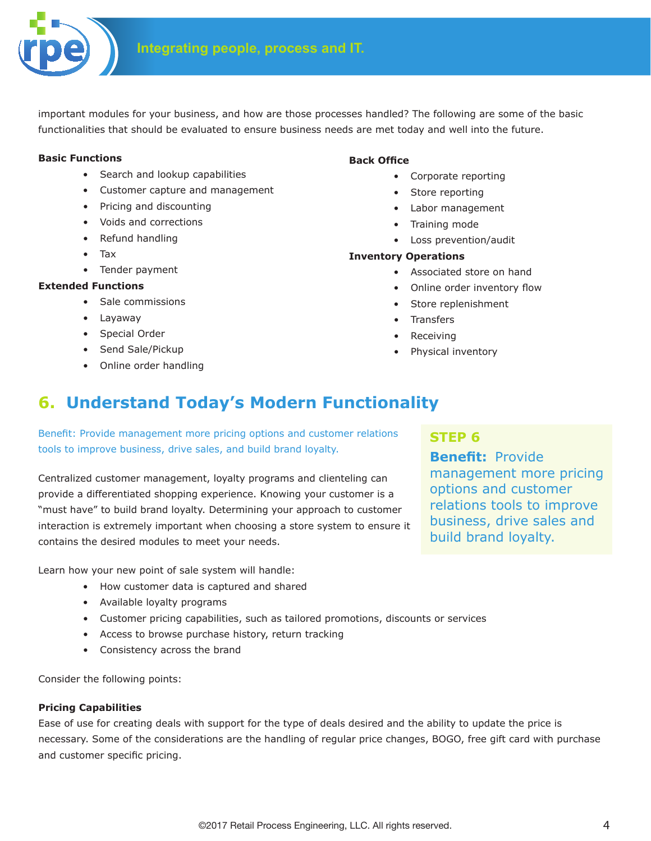

important modules for your business, and how are those processes handled? The following are some of the basic functionalities that should be evaluated to ensure business needs are met today and well into the future.

#### **Basic Functions**

- Search and lookup capabilities
- Customer capture and management
- Pricing and discounting
- Voids and corrections
- Refund handling
- Tax
- Tender payment

### **Extended Functions**

- Sale commissions
- Layaway
- Special Order
- Send Sale/Pickup
- Online order handling

### **Back Office**

- Corporate reporting
- Store reporting
- Labor management
- Training mode
- Loss prevention/audit

#### **Inventory Operations**

- Associated store on hand
- Online order inventory flow
- Store replenishment
- Transfers
- Receiving
- Physical inventory

# **6. Understand Today's Modern Functionality**

Benefit: Provide management more pricing options and customer relations tools to improve business, drive sales, and build brand loyalty.

Centralized customer management, loyalty programs and clienteling can provide a differentiated shopping experience. Knowing your customer is a "must have" to build brand loyalty. Determining your approach to customer interaction is extremely important when choosing a store system to ensure it contains the desired modules to meet your needs.

Learn how your new point of sale system will handle:

- How customer data is captured and shared
- Available loyalty programs
- Customer pricing capabilities, such as tailored promotions, discounts or services
- Access to browse purchase history, return tracking
- Consistency across the brand

Consider the following points:

### **Pricing Capabilities**

Ease of use for creating deals with support for the type of deals desired and the ability to update the price is necessary. Some of the considerations are the handling of regular price changes, BOGO, free gift card with purchase and customer specific pricing.

## **STEP 6**

**Benefit:** Provide management more pricing options and customer relations tools to improve business, drive sales and build brand loyalty.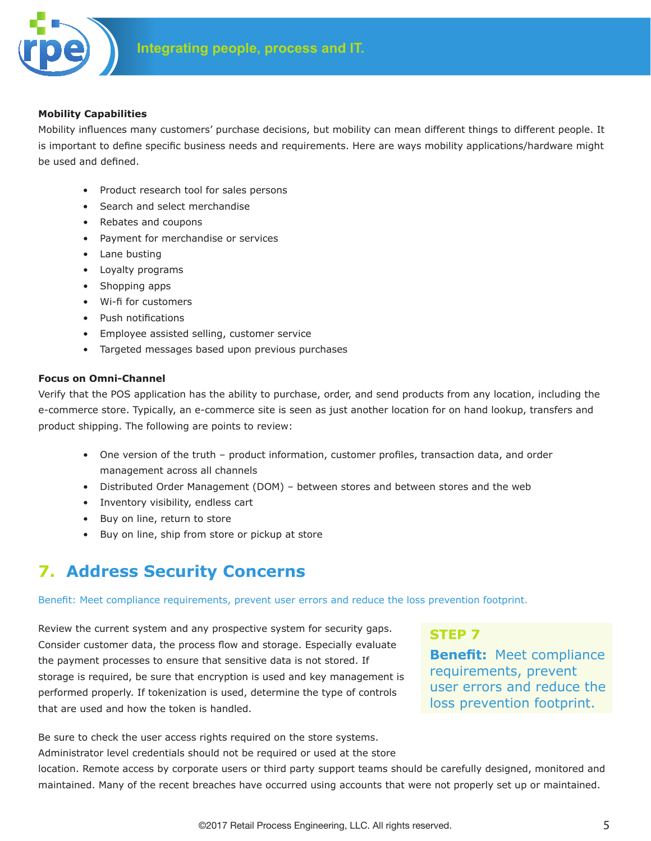

#### **Mobility Capabilities**

Mobility influences many customers' purchase decisions, but mobility can mean different things to different people. It is important to define specific business needs and requirements. Here are ways mobility applications/hardware might be used and defined.

- Product research tool for sales persons
- Search and select merchandise
- Rebates and coupons
- Payment for merchandise or services
- Lane busting
- Loyalty programs
- Shopping apps
- Wi-fi for customers
- Push notifications
- Employee assisted selling, customer service
- Targeted messages based upon previous purchases

#### **Focus on Omni-Channel**

Verify that the POS application has the ability to purchase, order, and send products from any location, including the e-commerce store. Typically, an e-commerce site is seen as just another location for on hand lookup, transfers and product shipping. The following are points to review:

- One version of the truth product information, customer profiles, transaction data, and order management across all channels
- Distributed Order Management (DOM) between stores and between stores and the web
- Inventory visibility, endless cart
- Buy on line, return to store
- Buy on line, ship from store or pickup at store

# **7. Address Security Concerns**

Benefit: Meet compliance requirements, prevent user errors and reduce the loss prevention footprint.

Review the current system and any prospective system for security gaps. Consider customer data, the process flow and storage. Especially evaluate the payment processes to ensure that sensitive data is not stored. If storage is required, be sure that encryption is used and key management is performed properly. If tokenization is used, determine the type of controls that are used and how the token is handled.

## **STEP 7**

**Benefit:** Meet compliance requirements, prevent user errors and reduce the loss prevention footprint.

Be sure to check the user access rights required on the store systems.

Administrator level credentials should not be required or used at the store

location. Remote access by corporate users or third party support teams should be carefully designed, monitored and maintained. Many of the recent breaches have occurred using accounts that were not properly set up or maintained.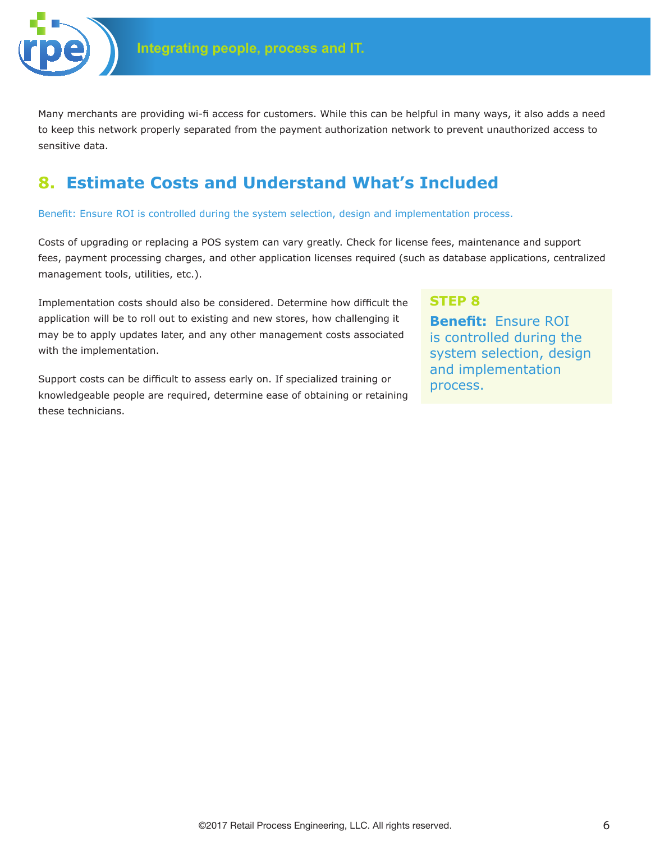

Many merchants are providing wi-fi access for customers. While this can be helpful in many ways, it also adds a need to keep this network properly separated from the payment authorization network to prevent unauthorized access to sensitive data.

# **8. Estimate Costs and Understand What's Included**

Benefit: Ensure ROI is controlled during the system selection, design and implementation process.

Costs of upgrading or replacing a POS system can vary greatly. Check for license fees, maintenance and support fees, payment processing charges, and other application licenses required (such as database applications, centralized management tools, utilities, etc.).

Implementation costs should also be considered. Determine how difficult the application will be to roll out to existing and new stores, how challenging it may be to apply updates later, and any other management costs associated with the implementation.

Support costs can be difficult to assess early on. If specialized training or knowledgeable people are required, determine ease of obtaining or retaining these technicians.

## **STEP 8**

**Benefit:** Ensure ROI is controlled during the system selection, design and implementation process.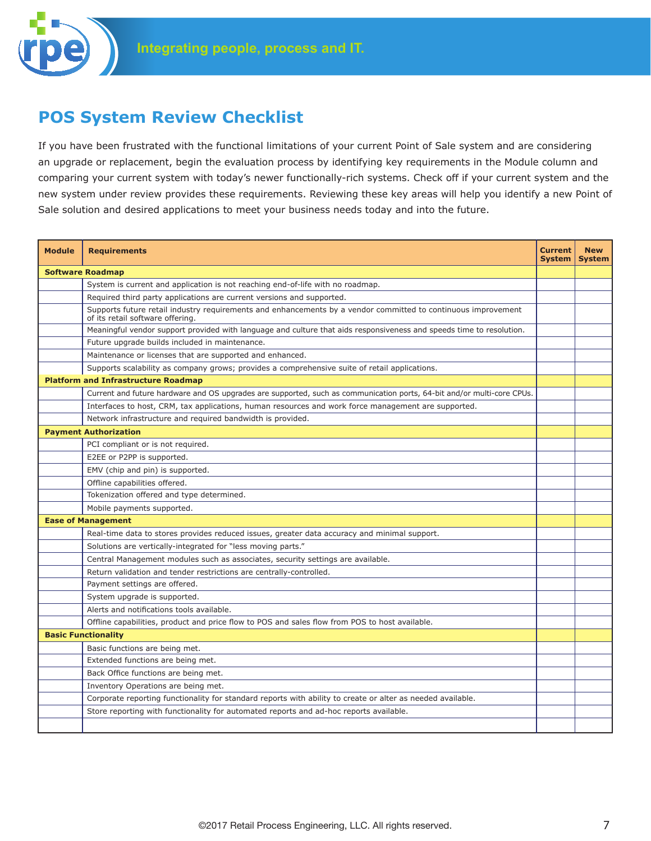# **POS System Review Checklist**

If you have been frustrated with the functional limitations of your current Point of Sale system and are considering an upgrade or replacement, begin the evaluation process by identifying key requirements in the Module column and comparing your current system with today's newer functionally-rich systems. Check off if your current system and the new system under review provides these requirements. Reviewing these key areas will help you identify a new Point of Sale solution and desired applications to meet your business needs today and into the future.

| <b>Module</b>           | <b>Requirements</b>                                                                                                                               | <b>Current</b><br>System | <b>New</b><br><b>System</b> |  |
|-------------------------|---------------------------------------------------------------------------------------------------------------------------------------------------|--------------------------|-----------------------------|--|
| <b>Software Roadmap</b> |                                                                                                                                                   |                          |                             |  |
|                         | System is current and application is not reaching end-of-life with no roadmap.                                                                    |                          |                             |  |
|                         | Required third party applications are current versions and supported.                                                                             |                          |                             |  |
|                         | Supports future retail industry requirements and enhancements by a vendor committed to continuous improvement<br>of its retail software offering. |                          |                             |  |
|                         | Meaningful vendor support provided with language and culture that aids responsiveness and speeds time to resolution.                              |                          |                             |  |
|                         | Future upgrade builds included in maintenance.                                                                                                    |                          |                             |  |
|                         | Maintenance or licenses that are supported and enhanced.                                                                                          |                          |                             |  |
|                         | Supports scalability as company grows; provides a comprehensive suite of retail applications.                                                     |                          |                             |  |
|                         | <b>Platform and Infrastructure Roadmap</b>                                                                                                        |                          |                             |  |
|                         | Current and future hardware and OS upgrades are supported, such as communication ports, 64-bit and/or multi-core CPUs.                            |                          |                             |  |
|                         | Interfaces to host, CRM, tax applications, human resources and work force management are supported.                                               |                          |                             |  |
|                         | Network infrastructure and required bandwidth is provided.                                                                                        |                          |                             |  |
|                         | <b>Payment Authorization</b>                                                                                                                      |                          |                             |  |
|                         | PCI compliant or is not required.                                                                                                                 |                          |                             |  |
|                         | E2EE or P2PP is supported.                                                                                                                        |                          |                             |  |
|                         | EMV (chip and pin) is supported.                                                                                                                  |                          |                             |  |
|                         | Offline capabilities offered.                                                                                                                     |                          |                             |  |
|                         | Tokenization offered and type determined.                                                                                                         |                          |                             |  |
|                         | Mobile payments supported.                                                                                                                        |                          |                             |  |
|                         | <b>Ease of Management</b>                                                                                                                         |                          |                             |  |
|                         | Real-time data to stores provides reduced issues, greater data accuracy and minimal support.                                                      |                          |                             |  |
|                         | Solutions are vertically-integrated for "less moving parts."                                                                                      |                          |                             |  |
|                         | Central Management modules such as associates, security settings are available.                                                                   |                          |                             |  |
|                         | Return validation and tender restrictions are centrally-controlled.                                                                               |                          |                             |  |
|                         | Payment settings are offered.                                                                                                                     |                          |                             |  |
|                         | System upgrade is supported.                                                                                                                      |                          |                             |  |
|                         | Alerts and notifications tools available.                                                                                                         |                          |                             |  |
|                         | Offline capabilities, product and price flow to POS and sales flow from POS to host available.                                                    |                          |                             |  |
|                         | <b>Basic Functionality</b>                                                                                                                        |                          |                             |  |
|                         | Basic functions are being met.                                                                                                                    |                          |                             |  |
|                         | Extended functions are being met.                                                                                                                 |                          |                             |  |
|                         | Back Office functions are being met.                                                                                                              |                          |                             |  |
|                         | Inventory Operations are being met.                                                                                                               |                          |                             |  |
|                         | Corporate reporting functionality for standard reports with ability to create or alter as needed available.                                       |                          |                             |  |
|                         | Store reporting with functionality for automated reports and ad-hoc reports available.                                                            |                          |                             |  |
|                         |                                                                                                                                                   |                          |                             |  |